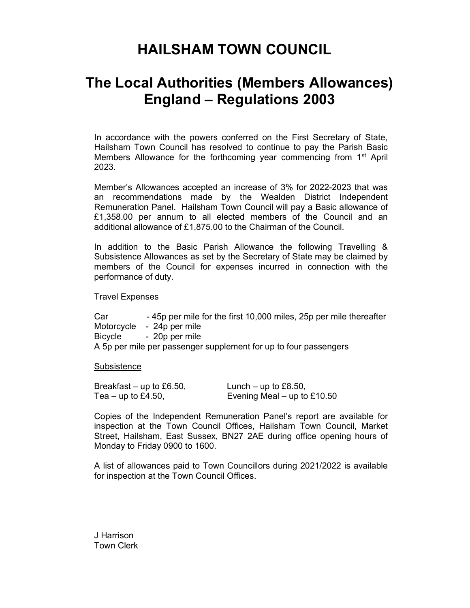## HAILSHAM TOWN COUNCIL

# The Local Authorities (Members Allowances) England – Regulations 2003

In accordance with the powers conferred on the First Secretary of State, Hailsham Town Council has resolved to continue to pay the Parish Basic Members Allowance for the forthcoming year commencing from  $1<sup>st</sup>$  April 2023.

Member's Allowances accepted an increase of 3% for 2022-2023 that was an recommendations made by the Wealden District Independent Remuneration Panel. Hailsham Town Council will pay a Basic allowance of £1,358.00 per annum to all elected members of the Council and an additional allowance of £1,875.00 to the Chairman of the Council.

In addition to the Basic Parish Allowance the following Travelling & Subsistence Allowances as set by the Secretary of State may be claimed by members of the Council for expenses incurred in connection with the performance of duty.

#### Travel Expenses

Car - 45p per mile for the first 10,000 miles, 25p per mile thereafter Motorcycle - 24p per mile Bicycle - 20p per mile A 5p per mile per passenger supplement for up to four passengers

### **Subsistence**

| Breakfast – up to £6.50, | Lunch – up to £8.50,        |
|--------------------------|-----------------------------|
| Tea – up to £4.50,       | Evening Meal – up to £10.50 |

Copies of the Independent Remuneration Panel's report are available for inspection at the Town Council Offices, Hailsham Town Council, Market Street, Hailsham, East Sussex, BN27 2AE during office opening hours of Monday to Friday 0900 to 1600.

A list of allowances paid to Town Councillors during 2021/2022 is available for inspection at the Town Council Offices.

J Harrison Town Clerk